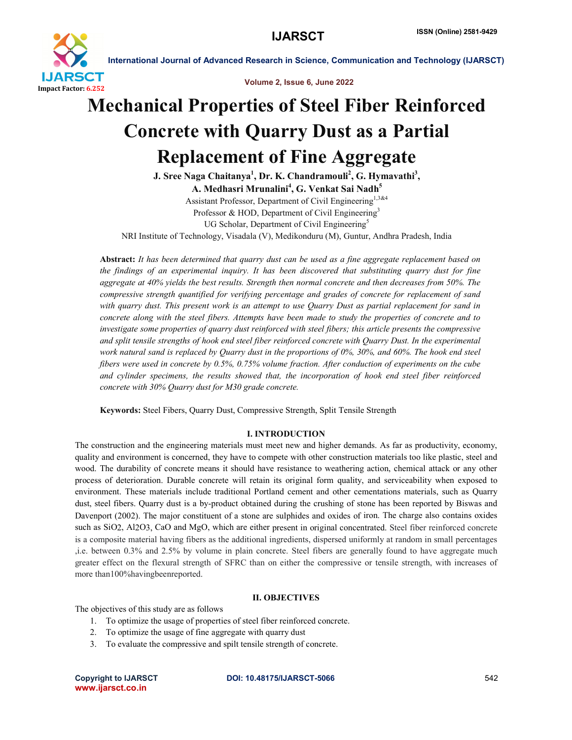

International Journal of Advanced Research in Science, Communication and Technology (IJARSCT)

Volume 2, Issue 6, June 2022

# Mechanical Properties of Steel Fiber Reinforced Concrete with Quarry Dust as a Partial Replacement of Fine Aggregate

J. Sree Naga Chaitanya<sup>1</sup>, Dr. K. Chandramouli<sup>2</sup>, G. Hymavathi<sup>3</sup>, A. Medhasri Mrunalini<sup>4</sup>, G. Venkat Sai Nadh<sup>5</sup> Assistant Professor, Department of Civil Engineering<sup>1,3&4</sup>

Professor & HOD, Department of Civil Engineering<sup>3</sup> UG Scholar, Department of Civil Engineering<sup>5</sup> NRI Institute of Technology, Visadala (V), Medikonduru (M), Guntur, Andhra Pradesh, India

Abstract: *It has been determined that quarry dust can be used as a fine aggregate replacement based on the findings of an experimental inquiry. It has been discovered that substituting quarry dust for fine aggregate at 40% yields the best results. Strength then normal concrete and then decreases from 50%. The compressive strength quantified for verifying percentage and grades of concrete for replacement of sand with quarry dust. This present work is an attempt to use Quarry Dust as partial replacement for sand in concrete along with the steel fibers. Attempts have been made to study the properties of concrete and to investigate some properties of quarry dust reinforced with steel fibers; this article presents the compressive and split tensile strengths of hook end steel fiber reinforced concrete with Quarry Dust. In the experimental work natural sand is replaced by Quarry dust in the proportions of 0%, 30%, and 60%. The hook end steel fibers were used in concrete by 0.5%, 0.75% volume fraction. After conduction of experiments on the cube and cylinder specimens, the results showed that, the incorporation of hook end steel fiber reinforced concrete with 30% Quarry dust for M30 grade concrete.*

Keywords: Steel Fibers, Quarry Dust, Compressive Strength, Split Tensile Strength

### I. INTRODUCTION

The construction and the engineering materials must meet new and higher demands. As far as productivity, economy, quality and environment is concerned, they have to compete with other construction materials too like plastic, steel and wood. The durability of concrete means it should have resistance to weathering action, chemical attack or any other process of deterioration. Durable concrete will retain its original form quality, and serviceability when exposed to environment. These materials include traditional Portland cement and other cementations materials, such as Quarry dust, steel fibers. Quarry dust is a by-product obtained during the crushing of stone has been reported by Biswas and Davenport (2002). The major constituent of a stone are sulphides and oxides of iron. The charge also contains oxides such as SiO2, Al2O3, CaO and MgO, which are either present in original concentrated. Steel fiber reinforced concrete is a composite material having fibers as the additional ingredients, dispersed uniformly at random in small percentages ,i.e. between 0.3% and 2.5% by volume in plain concrete. Steel fibers are generally found to have aggregate much greater effect on the flexural strength of SFRC than on either the compressive or tensile strength, with increases of more than100%havingbeenreported.

#### II. OBJECTIVES

The objectives of this study are as follows

- 1. To optimize the usage of properties of steel fiber reinforced concrete.
- 2. To optimize the usage of fine aggregate with quarry dust
- 3. To evaluate the compressive and spilt tensile strength of concrete.

www.ijarsct.co.in

Copyright to IJARSCT DOI: 10.48175/IJARSCT-5066 **542**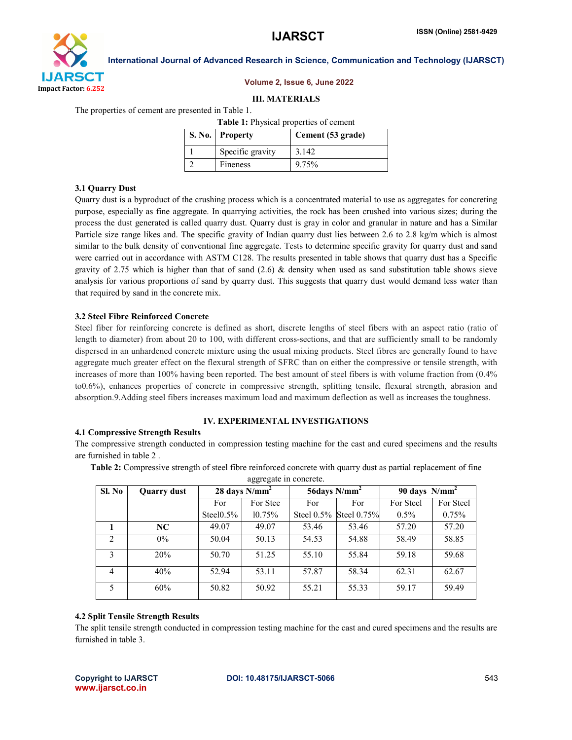

## Volume 2, Issue 6, June 2022

#### III. MATERIALS

The properties of cement are presented in Table 1.

Table 1: Physical properties of cement

| S. No. Property  | Cement (53 grade) |
|------------------|-------------------|
| Specific gravity | 3.142             |
| Fineness         | 9.75%             |

#### 3.1 Quarry Dust

Quarry dust is a byproduct of the crushing process which is a concentrated material to use as aggregates for concreting purpose, especially as fine aggregate. In quarrying activities, the rock has been crushed into various sizes; during the process the dust generated is called quarry dust. Quarry dust is gray in color and granular in nature and has a Similar Particle size range likes and. The specific gravity of Indian quarry dust lies between 2.6 to 2.8 kg/m which is almost similar to the bulk density of conventional fine aggregate. Tests to determine specific gravity for quarry dust and sand were carried out in accordance with ASTM C128. The results presented in table shows that quarry dust has a Specific gravity of 2.75 which is higher than that of sand  $(2.6)$  & density when used as sand substitution table shows sieve analysis for various proportions of sand by quarry dust. This suggests that quarry dust would demand less water than that required by sand in the concrete mix.

#### 3.2 Steel Fibre Reinforced Concrete

Steel fiber for reinforcing concrete is defined as short, discrete lengths of steel fibers with an aspect ratio (ratio of length to diameter) from about 20 to 100, with different cross-sections, and that are sufficiently small to be randomly dispersed in an unhardened concrete mixture using the usual mixing products. Steel fibres are generally found to have aggregate much greater effect on the flexural strength of SFRC than on either the compressive or tensile strength, with increases of more than 100% having been reported. The best amount of steel fibers is with volume fraction from  $(0.4\%$ to0.6%), enhances properties of concrete in compressive strength, splitting tensile, flexural strength, abrasion and absorption.9.Adding steel fibers increases maximum load and maximum deflection as well as increases the toughness.

### IV. EXPERIMENTAL INVESTIGATIONS

#### 4.1 Compressive Strength Results

The compressive strength conducted in compression testing machine for the cast and cured specimens and the results are furnished in table 2 .

Table 2: Compressive strength of steel fibre reinforced concrete with quarry dust as partial replacement of fine

aggregate in concrete.

| Sl. No         | <b>Quarry dust</b> | 28 days $N/mm^2$ |          | 56 days $N/mm^2$ |                        | 90 days $N/mm^2$ |           |
|----------------|--------------------|------------------|----------|------------------|------------------------|------------------|-----------|
|                |                    | For              | For Stee | For              | For                    | For Steel        | For Steel |
|                |                    | Steel $0.5\%$    | 10.75%   |                  | Steel 0.5% Steel 0.75% | $0.5\%$          | 0.75%     |
|                | NC.                | 49.07            | 49.07    | 53.46            | 53.46                  | 57.20            | 57.20     |
| $\mathfrak{D}$ | $0\%$              | 50.04            | 50.13    | 54.53            | 54.88                  | 58.49            | 58.85     |
| 3              | 20%                | 50.70            | 51.25    | 55.10            | 55.84                  | 59.18            | 59.68     |
| 4              | 40%                | 52.94            | 53.11    | 57.87            | 58.34                  | 62.31            | 62.67     |
|                | 60%                | 50.82            | 50.92    | 55.21            | 55.33                  | 59.17            | 59.49     |

#### 4.2 Split Tensile Strength Results

The split tensile strength conducted in compression testing machine for the cast and cured specimens and the results are furnished in table 3.